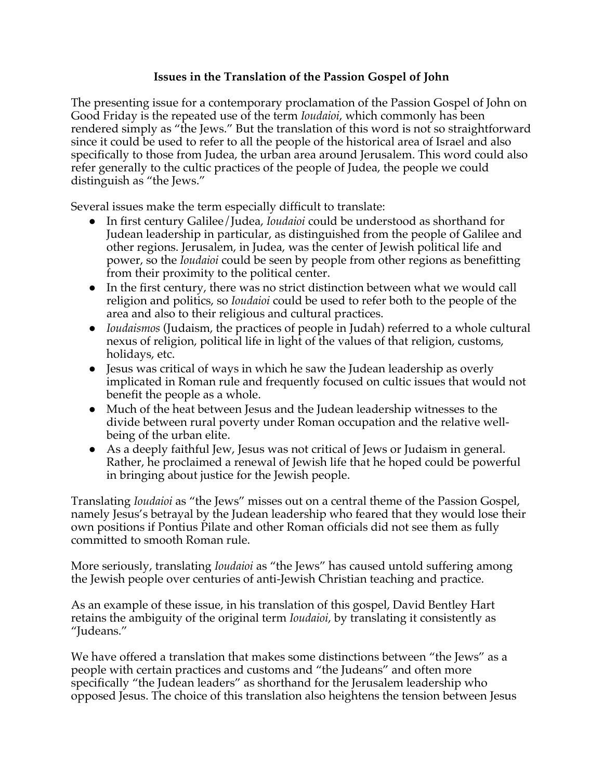## **Issues in the Translation of the Passion Gospel of John**

The presenting issue for a contemporary proclamation of the Passion Gospel of John on Good Friday is the repeated use of the term *Ioudaioi*, which commonly has been rendered simply as "the Jews." But the translation of this word is not so straightforward since it could be used to refer to all the people of the historical area of Israel and also specifically to those from Judea, the urban area around Jerusalem. This word could also refer generally to the cultic practices of the people of Judea, the people we could distinguish as "the Jews."

Several issues make the term especially difficult to translate:

- In first century Galilee/Judea, *Ioudaioi* could be understood as shorthand for Judean leadership in particular, as distinguished from the people of Galilee and other regions. Jerusalem, in Judea, was the center of Jewish political life and power, so the *Ioudaioi* could be seen by people from other regions as benefitting from their proximity to the political center.
- In the first century, there was no strict distinction between what we would call religion and politics, so *Ioudaioi* could be used to refer both to the people of the area and also to their religious and cultural practices.
- *Ioudaismos* (Judaism, the practices of people in Judah) referred to a whole cultural nexus of religion, political life in light of the values of that religion, customs, holidays, etc.
- Jesus was critical of ways in which he saw the Judean leadership as overly implicated in Roman rule and frequently focused on cultic issues that would not benefit the people as a whole.
- Much of the heat between Jesus and the Judean leadership witnesses to the divide between rural poverty under Roman occupation and the relative wellbeing of the urban elite.
- As a deeply faithful Jew, Jesus was not critical of Jews or Judaism in general. Rather, he proclaimed a renewal of Jewish life that he hoped could be powerful in bringing about justice for the Jewish people.

Translating *Ioudaioi* as "the Jews" misses out on a central theme of the Passion Gospel, namely Jesus's betrayal by the Judean leadership who feared that they would lose their own positions if Pontius Pilate and other Roman officials did not see them as fully committed to smooth Roman rule.

More seriously, translating *Ioudaioi* as "the Jews" has caused untold suffering among the Jewish people over centuries of anti-Jewish Christian teaching and practice.

As an example of these issue, in his translation of this gospel, David Bentley Hart retains the ambiguity of the original term *Ioudaioi*, by translating it consistently as "Judeans."

We have offered a translation that makes some distinctions between "the Jews" as a people with certain practices and customs and "the Judeans" and often more specifically "the Judean leaders" as shorthand for the Jerusalem leadership who opposed Jesus. The choice of this translation also heightens the tension between Jesus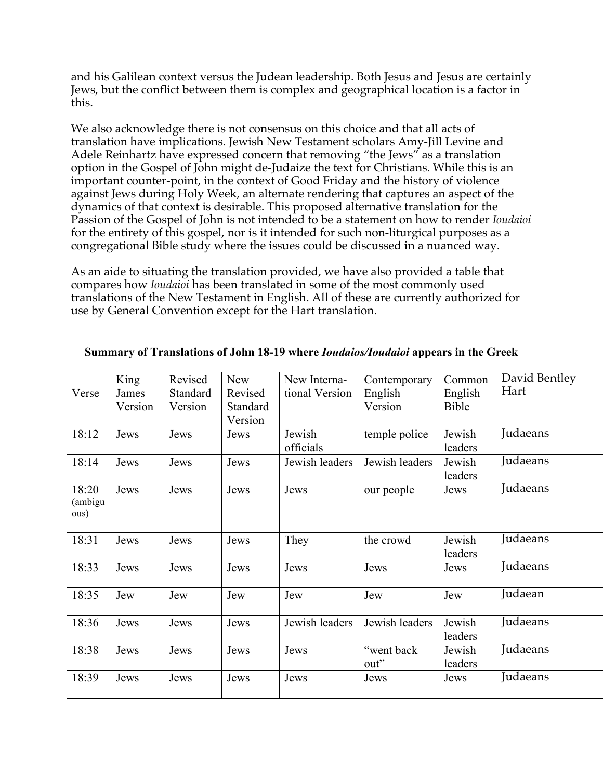and his Galilean context versus the Judean leadership. Both Jesus and Jesus are certainly Jews, but the conflict between them is complex and geographical location is a factor in this.

We also acknowledge there is not consensus on this choice and that all acts of translation have implications. Jewish New Testament scholars Amy-Jill Levine and Adele Reinhartz have expressed concern that removing "the Jews" as a translation option in the Gospel of John might de-Judaize the text for Christians. While this is an important counter-point, in the context of Good Friday and the history of violence against Jews during Holy Week, an alternate rendering that captures an aspect of the dynamics of that context is desirable. This proposed alternative translation for the Passion of the Gospel of John is not intended to be a statement on how to render *Ioudaioi*  for the entirety of this gospel, nor is it intended for such non-liturgical purposes as a congregational Bible study where the issues could be discussed in a nuanced way.

As an aide to situating the translation provided, we have also provided a table that compares how *Ioudaioi* has been translated in some of the most commonly used translations of the New Testament in English. All of these are currently authorized for use by General Convention except for the Hart translation.

|         | King    | Revised         | <b>New</b> | New Interna-   | Contemporary   | Common       | David Bentley |
|---------|---------|-----------------|------------|----------------|----------------|--------------|---------------|
| Verse   | James   | <b>Standard</b> | Revised    | tional Version | English        | English      | Hart          |
|         | Version | Version         | Standard   |                | Version        | <b>Bible</b> |               |
|         |         |                 | Version    |                |                |              |               |
| 18:12   | Jews    | Jews            | Jews       | Jewish         | temple police  | Jewish       | Judaeans      |
|         |         |                 |            | officials      |                | leaders      |               |
| 18:14   | Jews    | Jews            | Jews       | Jewish leaders | Jewish leaders | Jewish       | Judaeans      |
|         |         |                 |            |                |                | leaders      |               |
| 18:20   | Jews    | Jews            | Jews       | Jews           | our people     | Jews         | Judaeans      |
| (ambigu |         |                 |            |                |                |              |               |
| ous)    |         |                 |            |                |                |              |               |
|         |         |                 |            |                |                |              |               |
| 18:31   | Jews    | Jews            | Jews       | They           | the crowd      | Jewish       | Judaeans      |
|         |         |                 |            |                |                | leaders      |               |
| 18:33   | Jews    | Jews            | Jews       | Jews           | Jews           | Jews         | Judaeans      |
|         |         |                 |            |                |                |              |               |
| 18:35   | Jew     | Jew             | Jew        | Jew            | Jew            | Jew          | Judaean       |
|         |         |                 |            |                |                |              |               |
| 18:36   | Jews    | Jews            | Jews       | Jewish leaders | Jewish leaders | Jewish       | Judaeans      |
|         |         |                 |            |                |                | leaders      |               |
| 18:38   | Jews    | Jews            | Jews       | Jews           | "went back     | Jewish       | Judaeans      |
|         |         |                 |            |                | out"           | leaders      |               |
| 18:39   | Jews    | Jews            | Jews       | Jews           | Jews           | Jews         | Judaeans      |
|         |         |                 |            |                |                |              |               |

## **Summary of Translations of John 18-19 where** *Ioudaios/Ioudaioi* **appears in the Greek**